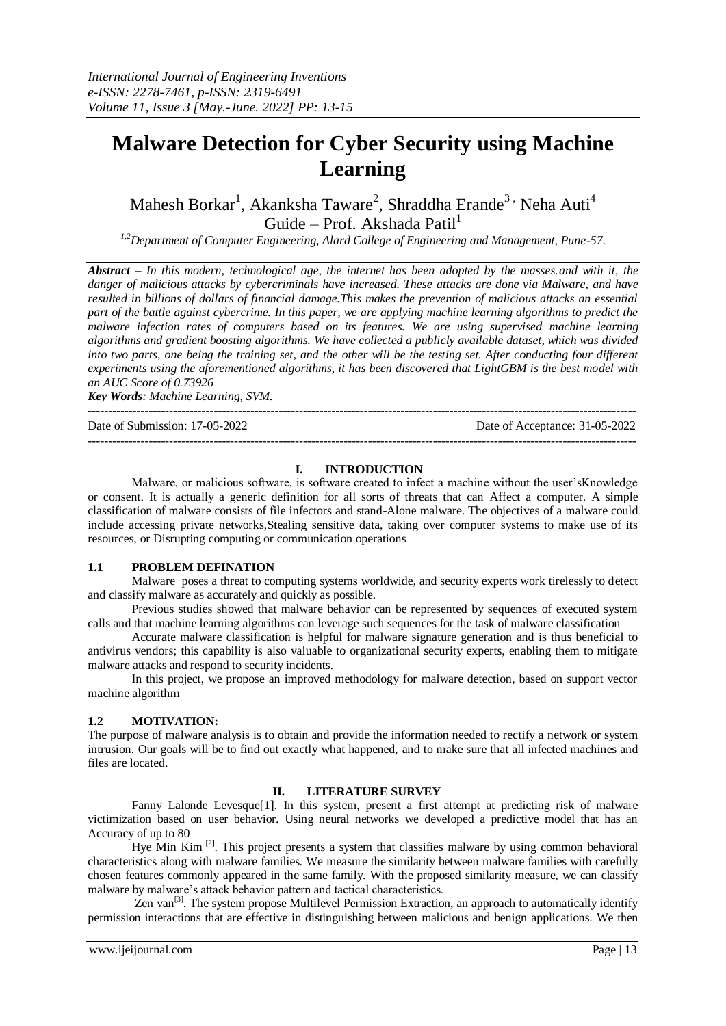# **Malware Detection for Cyber Security using Machine Learning**

Mahesh Borkar<sup>1</sup>, Akanksha Taware<sup>2</sup>, Shraddha Erande<sup>3,</sup> Neha Auti<sup>4</sup> Guide – Prof. Akshada Patil $1$ 

*1,2Department of Computer Engineering, Alard College of Engineering and Management, Pune-57.* 

*Abstract – In this modern, technological age, the internet has been adopted by the masses.and with it, the danger of malicious attacks by cybercriminals have increased. These attacks are done via Malware, and have resulted in billions of dollars of financial damage.This makes the prevention of malicious attacks an essential part of the battle against cybercrime. In this paper, we are applying machine learning algorithms to predict the malware infection rates of computers based on its features. We are using supervised machine learning algorithms and gradient boosting algorithms. We have collected a publicly available dataset, which was divided into two parts, one being the training set, and the other will be the testing set. After conducting four different experiments using the aforementioned algorithms, it has been discovered that LightGBM is the best model with an AUC Score of 0.73926*

*Key Words: Machine Learning, SVM.*

Date of Submission: 17-05-2022 Date of Acceptance: 31-05-2022

**I. INTRODUCTION**

---------------------------------------------------------------------------------------------------------------------------------------

---------------------------------------------------------------------------------------------------------------------------------------

Malware, or malicious software, is software created to infect a machine without the user'sKnowledge or consent. It is actually a generic definition for all sorts of threats that can Affect a computer. A simple classification of malware consists of file infectors and stand-Alone malware. The objectives of a malware could include accessing private networks,Stealing sensitive data, taking over computer systems to make use of its resources, or Disrupting computing or communication operations

## **1.1 PROBLEM DEFINATION**

Malware poses a threat to computing systems worldwide, and security experts work tirelessly to detect and classify malware as accurately and quickly as possible.

Previous studies showed that malware behavior can be represented by sequences of executed system calls and that machine learning algorithms can leverage such sequences for the task of malware classification

Accurate malware classification is helpful for malware signature generation and is thus beneficial to antivirus vendors; this capability is also valuable to organizational security experts, enabling them to mitigate malware attacks and respond to security incidents.

In this project, we propose an improved methodology for malware detection, based on support vector machine algorithm

## **1.2 MOTIVATION:**

The purpose of malware analysis is to obtain and provide the information needed to rectify a network or system intrusion. Our goals will be to find out exactly what happened, and to make sure that all infected machines and files are located.

# **II. LITERATURE SURVEY**

Fanny Lalonde Levesque[1]. In this system, present a first attempt at predicting risk of malware victimization based on user behavior. Using neural networks we developed a predictive model that has an Accuracy of up to 80

Hye Min Kim  $^{[2]}$ . This project presents a system that classifies malware by using common behavioral characteristics along with malware families. We measure the similarity between malware families with carefully chosen features commonly appeared in the same family. With the proposed similarity measure, we can classify malware by malware's attack behavior pattern and tactical characteristics.

Zen van<sup>[3]</sup>. The system propose Multilevel Permission Extraction, an approach to automatically identify permission interactions that are effective in distinguishing between malicious and benign applications. We then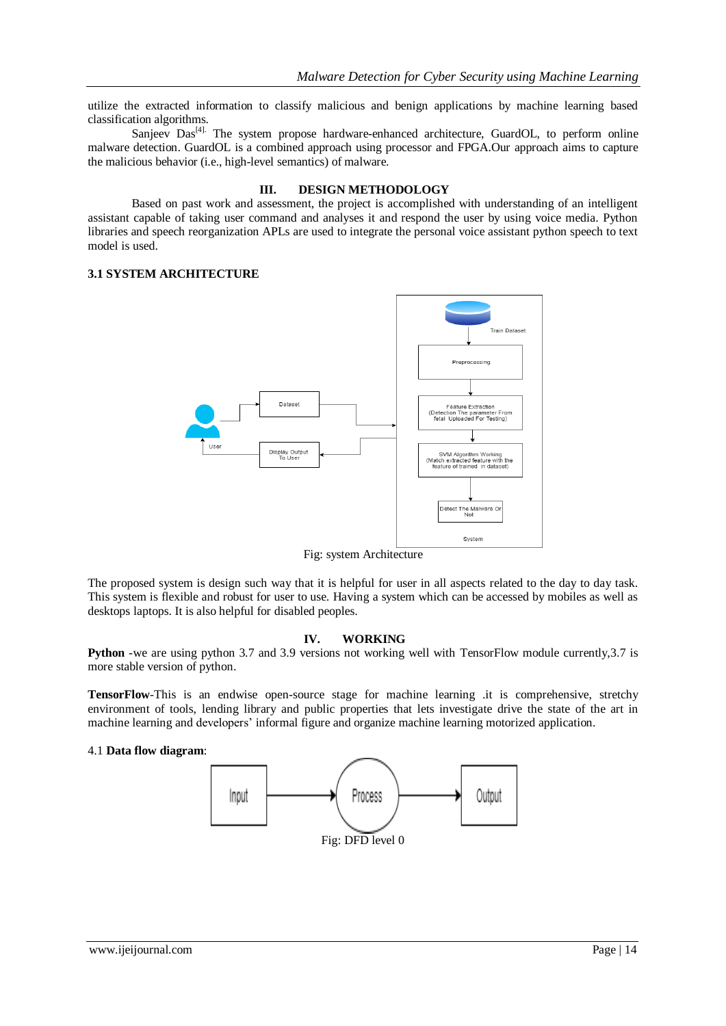utilize the extracted information to classify malicious and benign applications by machine learning based classification algorithms.

Sanjeev Das<sup>[4].</sup> The system propose hardware-enhanced architecture, GuardOL, to perform online malware detection. GuardOL is a combined approach using processor and FPGA.Our approach aims to capture the malicious behavior (i.e., high-level semantics) of malware.

#### **III. DESIGN METHODOLOGY**

Based on past work and assessment, the project is accomplished with understanding of an intelligent assistant capable of taking user command and analyses it and respond the user by using voice media. Python libraries and speech reorganization APLs are used to integrate the personal voice assistant python speech to text model is used.

# **3.1 SYSTEM ARCHITECTURE**



Fig: system Architecture

The proposed system is design such way that it is helpful for user in all aspects related to the day to day task. This system is flexible and robust for user to use. Having a system which can be accessed by mobiles as well as desktops laptops. It is also helpful for disabled peoples.

# **IV. WORKING**

**Python** -we are using python 3.7 and 3.9 versions not working well with TensorFlow module currently, 3.7 is more stable version of python.

**TensorFlow**-This is an endwise open-source stage for machine learning .it is comprehensive, stretchy environment of tools, lending library and public properties that lets investigate drive the state of the art in machine learning and developers' informal figure and organize machine learning motorized application.

#### 4.1 **Data flow diagram**: